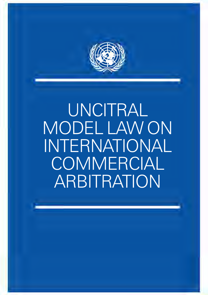

# UNCITRAL MODEL LAW ON INTERNATIONAL COMMERCIAL ARBITRATION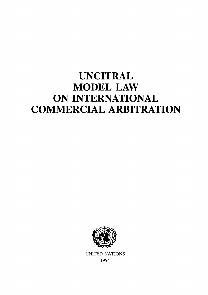# **UNCITRAL MODEL LAW ON INTERNATIONAL COMMERCIAL ARBITRATION**



1994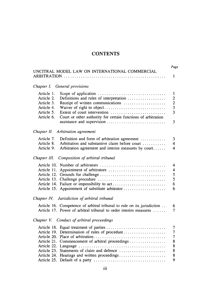# **CONTENTS**

|                                                                                  | UNCITRAL MODEL LAW ON INTERNATIONAL COMMERCIAL                                                                                                                                                                                     | Page<br>1                                                   |  |
|----------------------------------------------------------------------------------|------------------------------------------------------------------------------------------------------------------------------------------------------------------------------------------------------------------------------------|-------------------------------------------------------------|--|
|                                                                                  | Chapter I. General provisions                                                                                                                                                                                                      |                                                             |  |
| Article 1.<br>Article 2.<br>Article 3.<br>Article 4.<br>Article 5.<br>Article 6. | Scope of application<br>Definitions and rules of interpretation<br>Receipt of written communications<br>Waiver of right to object<br>Extent of court intervention<br>Court or other authority for certain functions of arbitration | 1<br>$\overline{2}$<br>$\frac{2}{3}$<br>$\overline{3}$<br>3 |  |
| Chapter II. Arbitration agreement                                                |                                                                                                                                                                                                                                    |                                                             |  |
| Article 7.<br>Article 8.<br>Article 9.                                           | Definition and form of arbitration agreement<br>Arbitration and substantive claim before court<br>Arbitration agreement and interim measures by court                                                                              | 3<br>4<br>4                                                 |  |
| Chapter III. Composition of arbitral tribunal                                    |                                                                                                                                                                                                                                    |                                                             |  |
|                                                                                  | Article 10. Number of arbitrators<br>Article 11. Appointment of arbitrators<br>Article 13. Challenge procedure<br>Article 15. Appointment of substitute arbitrator                                                                 | 4<br>4<br>5<br>5<br>6<br>6                                  |  |
| Chapter IV. Jurisdiction of arbitral tribunal                                    |                                                                                                                                                                                                                                    |                                                             |  |
|                                                                                  | Article 16. Competence of arbitral tribunal to rule on its jurisdiction<br>Article 17. Power of arbitral tribunal to order interim measures                                                                                        | 6<br>7                                                      |  |
|                                                                                  | Chapter V. Conduct of arbitral proceedings                                                                                                                                                                                         |                                                             |  |
|                                                                                  | Article 19. Determination of rules of procedure<br>Article 21. Commencement of arbitral proceedings<br>Article 23. Statements of claim and defence<br>Article 24. Hearings and written proceedings                                 | 7<br>7<br>7<br>8<br>8<br>8<br>8<br>9                        |  |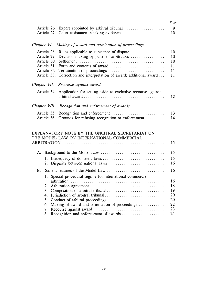|                                                                                   |                                                                                                      | Page                  |
|-----------------------------------------------------------------------------------|------------------------------------------------------------------------------------------------------|-----------------------|
|                                                                                   | Article 26. Expert appointed by arbitral tribunal<br>Article 27. Court assistance in taking evidence | 9<br>10               |
|                                                                                   |                                                                                                      |                       |
|                                                                                   | Chapter VI. Making of award and termination of proceedings                                           |                       |
|                                                                                   | Article 28. Rules applicable to substance of dispute                                                 | 10                    |
|                                                                                   | Article 29. Decision making by panel of arbitrators                                                  | 10                    |
|                                                                                   |                                                                                                      | 10                    |
|                                                                                   | Article 32. Termination of proceedings                                                               | $\overline{11}$<br>11 |
|                                                                                   | Article 33. Correction and interpretation of award; additional award                                 | 11                    |
|                                                                                   | Chapter VII. Recourse against award                                                                  |                       |
|                                                                                   | Article 34. Application for setting aside as exclusive recourse against                              |                       |
|                                                                                   |                                                                                                      | 12                    |
|                                                                                   | Chapter VIII. Recognition and enforcement of awards                                                  |                       |
|                                                                                   | Article 35. Recognition and enforcement                                                              | 13                    |
|                                                                                   | Article 36. Grounds for refusing recognition or enforcement                                          | 14                    |
|                                                                                   |                                                                                                      |                       |
|                                                                                   | EXPLANATORY NOTE BY THE UNCITRAL SECRETARIAT ON                                                      |                       |
|                                                                                   | THE MODEL LAW ON INTERNATIONAL COMMERCIAL                                                            |                       |
|                                                                                   |                                                                                                      | 15                    |
|                                                                                   |                                                                                                      | 15                    |
|                                                                                   |                                                                                                      | 15                    |
|                                                                                   | 2. Disparity between national laws                                                                   | 16                    |
| <b>B.</b>                                                                         | Salient features of the Model Law                                                                    | 16                    |
|                                                                                   | 1. Special procedural regime for international commercial                                            |                       |
|                                                                                   |                                                                                                      | 16                    |
| 2.                                                                                |                                                                                                      | 18                    |
| Composition of arbitral tribunal<br>3.<br>Jurisdiction of arbitral tribunal<br>4. |                                                                                                      | 19<br>20              |
| Conduct of arbitral proceedings<br>5.                                             |                                                                                                      | 20                    |
| 6.                                                                                | Making of award and termination of proceedings                                                       | $-22$                 |
| 7.                                                                                | Recourse against award                                                                               | 23                    |
| 8.                                                                                | Recognition and enforcement of awards                                                                | 24                    |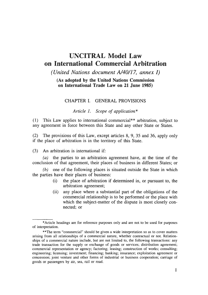# **UNCITRAL Model Law on International Commercial Arbitration**

# *(United Nations document A/40/17, annex I)*

#### **(As adopted by the United Nations Commission on International Trade Law on 21 June 1985)**

#### CHAPTER I. GENERAL PROVISIONS

#### *Article 1. Scope of application\**

(1) This Law applies to international commercial\*\* arbitration, subject to any agreement in force between this State and any other State or States.

(2) The provisions of this Law, except articles 8, 9, 35 and 36, apply only if the place of arbitration is in the territory of this State.

(3) An arbitration is international if:

 $(a)$  the parties to an arbitration agreement have, at the time of the conclusion of that agreement, their places of business in different States; or

(b) one of the following places is situated outside the State in which the parties have their places of business:

- (i) the place of arbitration if determined in, or pursuant to, the arbitration agreement;
- (ii) any place where a substantial part of the obligations of the commercial relationship is to be performed or the place with which the subject-matter of the dispute is most closely connected; or

<sup>\*</sup> Article headings are for reference purposes only and are not to be used for purposes of interpretation.

<sup>\*\*</sup>The term "commercial" should be given a wide interpretation so as to cover matters arising from all relationships of a commercial nature, whether contractual or not. Relationships of a commercial nature include, but are not limited to, the following transactions: any trade transaction for the supply or exchange of goods or services; distribution agreement; commercial representation or agency; factoring; leasing; construction of works; consulting; engineering; licensing; investment; financing; banking; insurance; exploitation agreement or concession; joint venture and other forms of industrial or business cooperation; carriage of goods or passengers by air, sea, rail or road.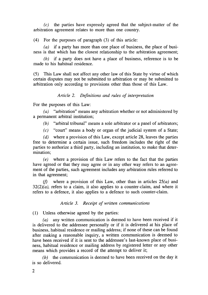$(c)$  the parties have expressly agreed that the subject-matter of the arbitration agreement relates to more than one country.

(4) For the purposes of paragraph (3) of this article:

(a) if a party has more than one place of business, the place of business is that which has the closest relationship to the arbitration agreement;

(b) if a party does not have a place of business, reference is to be made to his habitual residence.

(5) This Law shall not affect any other law of this State by virtue of which certain disputes may not be submitted to arbitration or may be submitted to arbitration only according to provisions other than those of this Law.

#### *Article 2. Definitions and rules of interpretation*

For the purposes of this Law:

(a) "arbitration" means any arbitration whether or not administered by a permanent arbitral institution;

 $(b)$  "arbitral tribunal" means a sole arbitrator or a panel of arbitrators;

 $(c)$  "court" means a body or organ of the judicial system of a State;

( $d$ ) where a provision of this Law, except article 28, leaves the parties free to determine a certain issue, such freedom includes the right of the parties to authorize a third party, including an institution, to make that determination;

 $(e)$  where a provision of this Law refers to the fact that the parties have agreed or that they may agree or in any other way refers to an agreement of the parties, such agreement includes any arbitration rules referred to in that agreement;

 $(f)$  where a provision of this Law, other than in articles  $25(a)$  and  $32(2)(a)$ , refers to a claim, it also applies to a counter-claim, and where it refers to a defence, it also applies to a defence to such counter-claim.

#### *Article 3. Receipt of written communications*

(1) Unless otherwise agreed by the parties:

 $(a)$  any written communication is deemed to have been received if it is delivered to the addressee personally or if it is delivered at his place of business, habitual residence or mailing address; if none of these can be found after making a reasonable inquiry, a written communication is deemed to have been received if it is sent to the addressee's last-known place of business, habitual residence or mailing address by registered letter or any other means which provides a record of the attempt to deliver it;

(b) the communication is deemed to have been received on the day it is so delivered.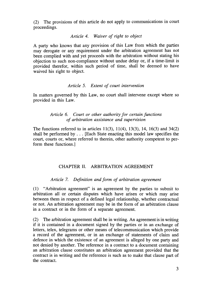(2) The provisions of this article do not apply to communications in court proceedings.

#### *Article 4. Waiver of right to object*

A party who knows that any provision of this Law from which the parties may derogate or any requirement under the arbitration agreement has not been complied with and yet proceeds with the arbitration without stating his objection to such non-compliance without undue delay or, if a time-limit is provided therefor, within such period of time, shall be deemed to have waived his right to object.

#### *Article 5. Extent of court intervention*

In matters governed by this Law, no court shall intervene except where so provided in this Law.

#### *Article 6. Court or other authority for certain functions of arbitration assistance and supervision*

The functions referred to in articles 11(3), 11(4), 13(3), 14, 16(3) and 34(2) shall be performed by ... [Each State enacting this model law specifies the court, courts or, where referred to therein, other authority competent to perform these functions.]

# CHAPTER II. ARBITRATION AGREEMENT

#### *Article* 7. *Definition and form of arbitration agreement*

(1) "Arbitration agreement" is an agreement by the parties to submit to arbitration all or certain disputes which have arisen or which may arise between them in respect of a defined legal relationship, whether contractual or not. An arbitration agreement may be in the form of an arbitration clause in a contract or in the form of a separate agreement.

(2) The arbitration agreement shall be in writing. An agreement is in writing if it is contained in a document signed by the parties or in an exchange of letters, telex, telegrams or other means of telecommunication which provide a record of the agreement, or in an exchange of statements of claim and defence in which the existence of an agreement is alleged by one party and not denied by another. The reference in a contract to a document containing an arbitration clause constitutes an arbitration agreement provided that the contract is in writing and the reference is such as to make that clause part of the contract.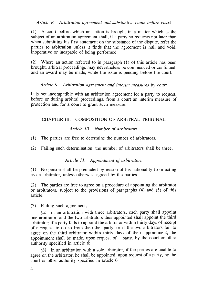#### *Article 8. Arbitration agreement and substantive claim before court*

(1) A court before which an action is brought in a matter which is the subject of an arbitration agreement shall, if a party so requests not later than when submitting his first statement on the substance of the dispute, refer the parties to arbitration unless it finds that the agreement is null and void, inoperative or incapable of being performed.

(2) Where an action referred to in paragraph (1) of this article has been brought, arbitral proceedings may nevertheless be commenced or continued, and an award may be made, while the issue is pending before the court.

#### *Article 9. Arbitration agreement and interim measures by court*

It is not incompatible with an arbitration agreement for a party to request, before or during arbitral proceedings, from a court an interim measure of protection and for a court to grant such measure.

# CHAPTER III. COMPOSITION OF ARBITRAL TRIBUNAL

# *Article JO. Number of arbitrators*

(1) The parties are free to determine the number of arbitrators.

(2) Failing such determination, the number of arbitrators shall be three.

# *Article 11. Appointment of arbitrators*

(1) No person shall be precluded by reason of his nationality from acting as an arbitrator, unless otherwise agreed by the parties.

(2) The parties are free to agree on a procedure of appointing the arbitrator or arbitrators, subject to the provisions of paragraphs (4) and (5) of this article.

(3) Failing such agreement,

 $(a)$  in an arbitration with three arbitrators, each party shall appoint one arbitrator, and the two arbitrators thus appointed shall appoint the third arbitrator; if a party fails to appoint the arbitrator within thirty days of receipt of a request to do so from the other party, or if the two arbitrators fail to agree on the third arbitrator within thirty days of their appointment, the appointment shall be made, upon request of a party, by the court or other authority specified in article 6;

(b) in an arbitration with a sole arbitrator, if the parties are unable to agree on the arbitrator, he shall be appointed, upon request of a party, by the court or other authority specified in article 6.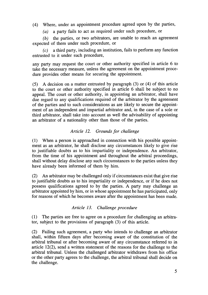(4) Where, under an appointment procedure agreed upon by the parties,

 $(a)$  a party fails to act as required under such procedure, or

 $(b)$  the parties, or two arbitrators, are unable to reach an agreement expected of them under such procedure, or

 $(c)$  a third party, including an institution, fails to perform any function entrusted to it under such procedure,

any party may request the court or other authority specified in article 6 to take the necessary measure, unless the agreement on the appointment procedure provides other means for securing the appointment.

(5) A decision on a matter entrusted by paragraph (3) or (4) of this article to the court or other authority specified in article 6 shall be subject to no appeal. The court or other authority, in appointing an arbitrator, shall have due regard to any qualifications required of the arbitrator by the agreement of the parties and to such considerations as are likely to secure the appointment of an independent and impartial arbitrator and, in the case of a sole or third arbitrator, shall take into account as well the advisability of appointing an arbitrator of a nationality other than those of the parties.

# *Article 12. Grounds for challenge*

 $(1)$  When a person is approached in connection with his possible appointment as an arbitrator, he shall disclose any circumstances likely to give rise to justifiable doubts as to his impartiality or independence. An arbitrator, from the time of his appointment and throughout the arbitral proceedings, shall without delay disclose any such circumstances to the parties unless they have already been informed of them by him.

(2) An arbitrator may be challenged only if circumstances exist that give rise to justifiable doubts as to his impartiality or independence, or if he does not possess qualifications agreed to by the parties. A party may challenge an arbitrator appointed by him, or in whose appointment he has participated, only for reasons of which he becomes aware after the appointment has been made.

# *Article 13. Challenge procedure*

(1) The parties are free to agree on a procedure for challenging an arbitrator, subject to the provisions of paragraph (3) of this article.

(2) Failing such agreement, a party who intends to challenge an arbitrator shall, within fifteen days after becoming aware of the constitution of the arbitral tribunal or after becoming aware of any circumstance referred to in article 12(2), send a written statement of the reasons for the challenge to the arbitral tribunal. Unless the challenged arbitrator withdraws from his office or the other party agrees to the challenge, the arbitral tribunal shall decide on the challenge.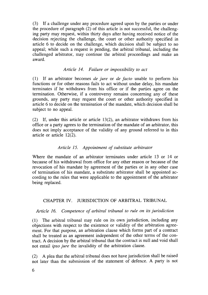(3) If a challenge under any procedure agreed upon by the parties or under the procedure of paragraph (2) of this article is not successful, the challenging party may request, within thirty days after having received notice of the decision rejecting the challenge, the court or other authority specified in article 6 to decide on the challenge, which decision shall be subject to no appeal; while such a request is pending, the arbitral tribunal, including the challenged arbitrator, may continue the arbitral proceedings and make an award.

## *Article 14. Failure or impossibility to act*

(1) If an arbitrator becomes *de Jure* or *de facto* unable to perform his functions or for other reasons fails to act without undue delay, his mandate terminates if he withdraws from his office or if the parties agree on the termination. Otherwise, if a controversy remains concerning any of these grounds, any party may request the court or other authority specified in article 6 to decide on the termination of the mandate, which decision shall be subject to no appeal.

(2) If, under this article or article 13(2), an arbitrator withdraws from his office or a party agrees to the termination of the mandate of an arbitrator, this does not imply acceptance of the validity of any ground referred to in this article or article 12(2).

## *Article 15. Appointment of substitute arbitrator*

Where the mandate of an arbitrator terminates under article 13 or 14 or because of his withdrawal from office for any other reason or because of the revocation of his mandate by agreement of the parties or in any other case of termination of his mandate, a substitute arbitrator shall be appointed according to the rules that were applicable to the appointment of the arbitrator being replaced.

# CHAPTER IV. JURISDICTION OF ARBITRAL TRIBUNAL

*Article 16. Competence of arbitral tribunal to rule on its jurisdiction* 

(1) The arbitral tribunal may rule on its own jurisdiction, including any objections with respect to the existence or validity of the arbitration agreement. For that purpose, an arbitration clause which forms part of a contract shall be treated as an agreement independent of the other terms of the contract. A decision by the arbitral tribunal that the contract is null and void shall not entail *ipso Jure* the invalidity of the arbitration clause.

(2) A plea that the arbitral tribunal does not have jurisdiction shall be raised not later than the submission of the statement of defence. A party is not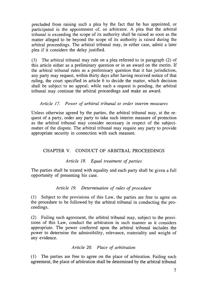precluded from raising such a plea by the fact that he has appointed, or participated in the appointment of, an arbitrator. A plea that the arbitral tribunal is exceeding the scope of its authority shall be raised as soon as the matter alleged to be beyond the scope of its authority is raised during the arbitral proceedings. The arbitral tribunal may, in either case, admit a later plea if it considers the delay justified.

(3) The arbitral tribunal may rule on a plea referred to in paragraph (2) of this article either as a preliminary question or in an award on the merits. If the arbitral tribunal rules as a preliminary question that it has jurisdiction, any party may request, within thirty days after having received notice of that ruling, the court specified in article 6 to decide the matter, which decision shall be subject to no appeal; while such a request is pending, the arbitral tribunal may continue the arbitral proceedings and make an award.

# *Article 17. Power of arbitral tribunal to order interim measures*

Unless otherwise agreed by the parties, the arbitral tribunal may, at the request of a party, order any party to take such interim measure of protection as the arbitral tribunal may consider necessary in respect of the subjectmatter of the dispute. The arbitral tribunal may require any party to provide appropriate security in connection with such measure.

# CHAPTER V. CONDUCT OF ARBITRAL PROCEEDINGS

# *Article 18. Equal treatment of parties*

The parties shall be treated with equality and each party shall be given a full opportunity of presenting his case.

# *Article 19. Determination of rules of procedure*

(1) Subject to the provisions of this Law, the parties are free to agree on the procedure to be followed by the arbitral tribunal in conducting the proceedings.

(2) Failing such agreement, the arbitral tribunal may, subject to the provisions of this Law, conduct the arbitration in such manner as it considers appropriate. The power conferred upon the arbitral tribunal includes the power to determine the admissibility, relevance, materiality and weight of any evidence.

# *Article 20. Place of arbitration*

(1) The parties are free to agree on the place of arbitration. Failing such agreement, the place of arbitration shall be determined by the arbitral tribunal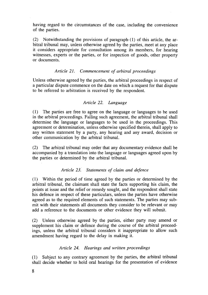having regard to the circumstances of the case, including the convenience of the parties.

(2) Notwithstanding the provisions of paragraph  $(1)$  of this article, the arbitral tribunal may, unless otherwise agreed by the parties, meet at any place it considers appropriate for consultation among its members, for hearing witnesses, experts or the parties, or for inspection of goods, other property or documents.

#### *Article 21. Commencement of arbitral proceedings*

Unless otherwise agreed by the parties, the arbitral proceedings in respect of a particular dispute commence on the date on which a request for that dispute to be referred to arbitration is received by the respondent.

#### *Article* 22. *Language*

(I) The parties are free to agree on the language or languages to be used in the arbitral proceedings. Failing such agreement, the arbitral tribunal shall determine the language or languages to be used in the proceedings. This agreement or determination, unless otherwise specified therein, shall apply to any written statement by a party, any hearing and any award, decision or other communication by the arbitral tribunal.

(2) The arbitral tribunal may order that any documentary evidence shall be accompanied by a translation into the language or languages agreed upon by the parties or determined by the arbitral tribunal.

#### *Article 23. Statements of claim and defence*

( 1) Within the period of time agreed by the parties or determined by the arbitral tribunal, the claimant shall state the facts supporting his claim, the points at issue and the relief or remedy sought, and the respondent shall state his defence in respect of these particulars, unless the parties have otherwise agreed as to the required elements of such statements. The parties may submit with their statements all documents they consider to be relevant or may add a reference to the documents or other evidence they will submit.

(2) Unless otherwise agreed by the parties, either party may amend or supplement his claim or defence during the course of the arbitral proceedings, unless the arbitral tribunal considers it inappropriate to allow such amendment having regard to the delay in making it.

#### *Article 24. Hearings and written proceedings*

(1) Subject to any contrary agreement by the parties, the arbitral tribunal shall decide whether to hold oral hearings for the presentation of evidence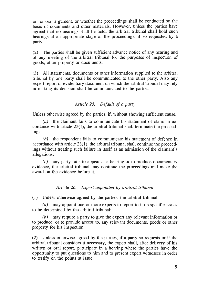or for oral argument, or whether the proceedings shall be conducted on the basis of documents and other materials. However, unless the parties have agreed that no hearings shall be held, the arbitral tribunal shall hold such hearings at an appropriate stage of the proceedings, if so requested by a party.

(2) The parties shall be given sufficient advance notice of any hearing and of any meeting of the arbitral tribunal for the purposes of inspection of goods, other property or documents.

(3) All statements, documents or other information supplied to the arbitral tribunal by one party shall be communicated to the other party. Also any expert report or evidentiary document on which the arbitral tribunal may rely in making its decision shall be communicated to the parties.

### *Article 25. Default of a party*

Unless otherwise agreed by the parties, if, without showing sufficient cause,

 $(a)$  the claimant fails to communicate his statement of claim in accordance with article  $23(1)$ , the arbitral tribunal shall terminate the proceedings;

(b) the respondent fails to communicate his statement of defence in accordance with article  $23(1)$ , the arbitral tribunal shall continue the proceedings without treating such failure in itself as an admission of the claimant's allegations;

 $(c)$  any party fails to appear at a hearing or to produce documentary evidence, the arbitral tribunal may continue the proceedings and make the award on the evidence before it.

#### *Article 26. Expert appointed by arbitral tribunal*

(1) Unless otherwise agreed by the parties, the arbitral tribunal

 $(a)$  may appoint one or more experts to report to it on specific issues to be determined by the arbitral tribunal;

(b) may require a party to give the expert any relevant information or to produce, or to provide access to, any relevant documents, goods or other property for his inspection.

(2) Unless otherwise agreed by the parties, if a party so requests or if the arbitral tribunal considers it necessary, the expert shall, after delivery of his written or oral report, participate in a hearing where the parties have the opportunity to put questions to him and to present expert witnesses in order to testify on the points at issue.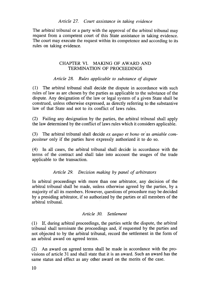# *Article 27. Court assistance in taking evidence*

The arbitral tribunal or a party with the approval of the arbitral tribunal may request from a competent court of this State assistance in taking evidence. The court may execute the request within its competence and according to its rules on taking evidence.

#### CHAPTER VI. MAKING OF AWARD AND TERMINATION OF PROCEEDINGS

#### *Article 28. Rules applicable to substance of dispute*

(1) The arbitral tribunal shall decide the dispute in accordance with such rules of law as are chosen by the parties as applicable to the substance of the dispute. Any designation of the law or legal system of a given State shall be construed, unless otherwise expressed, as directly referring to the substantive law of that State and not to its conflict of laws rules.

(2) Failing any designation by the parties, the arbitral tribunal shall apply the law determined by the conflict of laws rules which it considers applicable.

(3) The arbitral tribunal shall decide *ex aequo et bono* or· as *amiable compositeur* only if the parties have expressly authorized it to do so.

(4) In all cases, the arbitral tribunal shall decide in accordance with the terms of the contract and shall take into account the usages of the trade applicable to the transaction.

#### *Article 29. Decision making by panel of arbitrators*

In arbitral proceedings with more than one arbitrator, any decision of the arbitral tribunal shall be made, unless otherwise agreed by the parties, by a majority of all its members. However, questions of procedure may be decided by a presiding arbitrator, if so authorized by the parties or all members of the arbitral tribunal.

#### *Article 30. Settlement*

( 1) If, during arbitral proceedings, the parties settle the dispute, the arbitral tribunal shall terminate the proceedings and, if requested by the parties and not objected to by the arbitral tribunal, record the settlement in the form of an arbitral award on agreed terms.

(2) An award on agreed terms shall be made in accordance with the provisions of article 31 and shall state that it is an award. Such an award has the same status and effect as any other award on the merits of the case.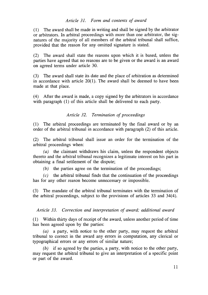### *Article 31. Form and contents of award*

( 1) The award shall be made in writing and shall be signed by the arbitrator or arbitrators. In arbitral proceedings with more than one arbitrator, the signatures of the majority of all members of the arbitral tribunal shall suffice, provided that the reason for any omitted signature is stated.

(2) The award shall state the reasons upon which it is based, unless the parties have agreed that no reasons are to be given or the award is an award on agreed terms under article 30.

(3) The award shall state its date and the place of arbitration as determined in accordance with article  $20(1)$ . The award shall be deemed to have been made at that place.

( 4) After the award is made, a copy signed by the arbitrators in accordance with paragraph (1) of this article shall be delivered to each party.

# *Article 32. Termination of proceedings*

(1) The arbitral proceedings are terminated by the final award or by an order of the arbitral tribunal in accordance with paragraph (2) of this article.

(2) The arbitral tribunal shall issue an order for the termination of the arbitral proceedings when:

 $(a)$  the claimant withdraws his claim, unless the respondent objects thereto and the arbitral tribunal recognizes a legitimate interest on his part in obtaining a final settlement of the dispute;

 $(b)$  the parties agree on the termination of the proceedings;

 $(c)$  the arbitral tribunal finds that the continuation of the proceedings has for any other reason become unnecessary or impossible.

(3) The mandate of the arbitral tribunal terminates with the termination of the arbitral proceedings, subject to the provisions of articles 33 and 34(4).

# *Article 33. Correction and interpretation of award; additional award*

(1) Within thirty days of receipt of the award, unless another period of time has been agreed upon by the parties:

 $(a)$  a party, with notice to the other party, may request the arbitral tribunal to correct in the award any errors in computation, any clerical or typographical errors or any errors of similar nature;

(b) if so agreed by the parties, a party, with notice to the other party, may request the arbitral tribunal to give an interpretation of a specific point or part of the award.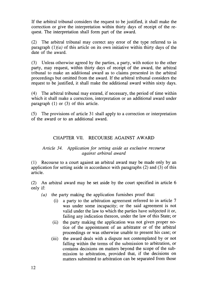If the arbitral tribunal considers the request to be justified, it shall make the correction or give the interpretation within thirty days of receipt of the request. The interpretation shall form part of the award.

(2) The arbitral tribunal may correct any error of the type referred to in paragraph  $(1)(a)$  of this article on its own initiative within thirty days of the date of the award.

(3) Unless otherwise agreed by the parties, a party, with notice to the other party, may request, within thirty days of receipt of the award, the arbitral tribunal to make an additional award as to claims presented in the arbitral proceedings but omitted from the award. If the arbitral tribunal considers the request to be justified, it shall make the additional award within sixty days.

( 4) The arbitral tribunal may extend, if necessary, the period of time within which it shall make a correction, interpretation or an additional award under paragraph (1) or (3) of this article.

(5) The provisions of article 31 shall apply to a correction or interpretation of the award or to an additional award.

# CHAPTER VII. RECOURSE AGAINST AWARD

#### *Article 34. Application for setting aside as exclusive recourse against arbitral award*

( 1) Recourse to a court against an arbitral award may be made only by an application for setting aside in accordance with paragraphs (2) and (3) of this article.

(2) An arbitral award may be set aside by the court specified in article 6 only if:

- $(a)$  the party making the application furnishes proof that:
	- (i) a party to the arbitration agreement referred to in article 7 was under some incapacity; or the said agreement is not valid under the law to which the parties have subjected it or, failing any indication thereon, under the law of this State; or
	- (ii) the party making the application was not given proper notice of the appointment of an arbitrator or of the arbitral proceedings or was otherwise unable to present his case; or
	- (iii) the award deals with a dispute not contemplated by or not falling within the terms of the submission to arbitration, or contains decisions on matters beyond the scope of the submission to arbitration, provided that, if the decisions on matters submitted to arbitration can be separated from those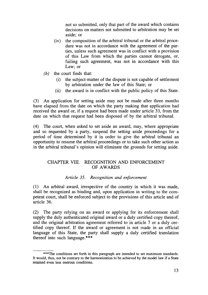not so submitted, only that part of the award which contains decisions on matters not submitted to arbitration may be set aside; or

- (iv) the composition of the arbitral tribunal or the arbitral procedure was not in accordance with the agreement of the parties, unless such agreement was in conflict with a provision of this Law from which the parties cannot derogate, or, failing such agreement, was not in accordance with this Law; or
- $(b)$  the court finds that:
	- (i) the subject-matter of the dispute is not capable of settlement by arbitration under the law of this State; or
	- (ii) the award is in conflict with the public policy of this State.

(3) An application for setting aside may not be made after three months have elapsed from the date on which the party making that application had received the award or, if a request had been made under article 33, from the date on which that request had been disposed of by the arbitral tribunal.

( 4) The court, when asked to set aside an award, may, where appropriate and so requested by a party, suspend the setting aside proceedings for a period of time determined by it in order to give the arbitral tribunal an opportunity to resume the arbitral proceedings or to take such other action as in the arbitral tribunal's opinion will eliminate the grounds for setting aside.

# CHAPTER VIII. RECOGNITION AND ENFORCEMENT OF AWARDS

#### *Article 35. Recognition and enforcement*

(1) An arbitral award, irrespective of the country in which it was made, shall be recognized as binding and, upon application in writing to the competent court, shall be enforced subject to the provisions of this article and of article 36.

(2) The party relying on an award or applying for its enforcement shall supply the duly authenticated original award or a duly certified copy thereof, and the original arbitration agreement referred to in article 7 or a duly certified copy thereof. If the award or agreement is not made in an official language of this State, the party shall supply a duly certified translation thereof into such language.\*\*\*

<sup>\*\*\*</sup>The conditions set forth in this paragraph are intended to set maximum standards. It would, thus, not be contrary to the harmonization to be achieved by the model law if a State retained even less onerous conditions.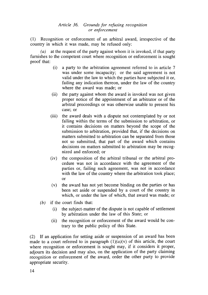### *Article 36. Grounds for refusing recognition or enforcement*

(1) Recognition or enforcement of an arbitral award, irrespective of the country in which it was made, may be refused only:

( $a$ ) at the request of the party against whom it is invoked, if that party furnishes to the competent court where recognition or enforcement is sought proof that:

- (i) a party to the arbitration agreement referred to in article 7 was under some incapacity; or the said agreement is not valid under the law to which the parties have subjected it or, failing any indication thereon, under the law of the country where the award was made; or
- (ii) the party against whom the award is invoked was not given proper notice of the appointment of an arbitrator or of the arbitral proceedings or was otherwise unable to present his case; or
- (iii) the award deals with a dispute not contemplated by or not falling within the terms of the submission to arbitration, or it contains decisions on matters beyond the scope of the submission to arbitration, provided that, if the decisions on matters submitted to arbitration can be separated from those not so submitted, that part of the award which contains decisions on matters submitted to arbitration may be recognized and enforced; or
- (iv) the composition of the arbitral tribunal or the arbitral procedure was not in accordance with the agreement of the parties or, failing such agreement, was not in accordance with the law of the country where the arbitration took place; or
- (v) the award has not yet become binding on the parties or has been set aside or suspended by a court of the country in which, or under the law of which, that award was made; or
- $(b)$  if the court finds that:
	- (i) the subject-matter of the dispute is not capable of settlement by arbitration under the law of this State; or
	- (ii) the recognition or enforcement of the award would be contrary to the public policy of this State.

(2) If an application for setting aside or suspension of an award has been made to a court referred to in paragraph  $(1)(a)(v)$  of this article, the court where recognition or enforcement is sought may, if it considers it proper, adjourn its decision and may also, on the application of the party claiming recognition or enforcement of the award, order the other party to provide appropriate security.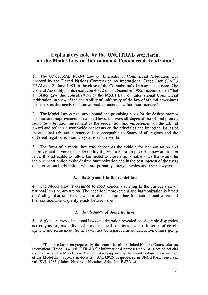# **Explanatory note by the UNCITRAL secretariat on the Model Law on International Commercial Arbitration•**

1. The UNCITRAL Model Law on International Commercial Arbitration was adopted by the United Nations Commission on International Trade Law (UNCI-TRAL) on 21 June 1985, at the close of the Commission's 18th annual session. The General Assembly, in its resolution 40/72 of 11 December 1985, recommended "that all States give due consideration to the Model Law on International Commercial Arbitration, in view of the desirability of uniformity of the law of arbitral procedures and the specific needs of international commercial arbitration practice".

2. The Model Law constitutes a sound and promising basis for the desired harmonization and improvement of national laws. It covers all stages of the arbitral process from the arbitration agreement to the recognition and enforcement of the arbitral award and reflects a worldwide consensus on the principles and important issues of international arbitration practice. It is acceptable to States of all regions and the different legal or economic systems of the world.

3. The form of a model law was chosen as the vehicle for harmonization and improvement in view of the flexibility it gives to States in preparing new arbitration laws. It is advisable to follow the model as closely as possible since that would be the best contribution to the desired harmonization and in the best interest of the users of international arbitration, who are primarily foreign parties and their lawyers.

#### **A. Background to the model law**

4. The Model Law is designed to meet concerns relating to the current state of national laws on arbitration. The need for improvement and harmonization is based on findings that domestic laws are often inappropriate for international cases and that considerable disparity exists between them.

#### *1. Inadequacy of domestic laws*

5. A global survey of national laws on arbitration revealed considerable disparities not only as regards individual provisions and solutions but also in terms of development and refinement. Some laws may be regarded as outdated, sometimes going

<sup>\*</sup>This note has been prepared by the secretariat of the United Nations Commission on International Trade Law (UNCITRAL) for informational purposes only; it is not an official commentary on the Model Law. A commentary prepared by the Secretariat on an earlier draft of the Model Law appears in document A/CN.9/264, reproduced in UNCITRAL *Yearbook,*  vol. XVI: 1985 (United Nations publication, Sales No. E.87.V.4).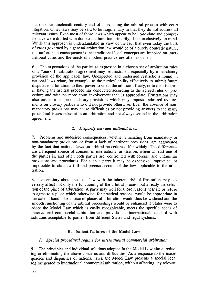back to the nineteenth century and often equating the arbitral process with court litigation. Other laws may be said to be fragmentary in that they do not address all relevant issues. Even most of those laws which appear to be up-to-date and comprehensive were drafted with domestic arbitration primarily, if not exclusively, in mind. While this approach is understandable in view of the fact that even today the bulk of cases governed by a general arbitration law would be of a purely domestic nature, the unfortunate consequence is that traditional local concepts are imposed on international cases and the needs of modem practice are often not met.

6. The expectations of the parties as expressed in a chosen set of arbitration rules or a "one-off' arbitration agreement may be frustrated, especially by a mandatory provision of the applicable law. Unexpected and undesired restrictions found in national laws relate, for example, to the parties' ability effectively to submit future disputes to arbitration, to their power to select the arbitrator freely, or to their interest in having the arbitral proceedings conducted according to the agreed rules of procedure and with no more court involvement than is appropriate. Frustrations may also ensue from non-mandatory provisions which may impose undesired requirements on unwary parties who did not provide otherwise. Even the absence of nonmandatory provisions may cause difficulties by not providing answers to the many procedural issues relevant in an arbitration and not always settled in the arbitration agreement.

#### *2. Disparity between national laws*

7. Problems and undesired consequences, whether emanating from mandatory or non-mandatory provisions or from a lack of pertinent provisions, are aggravated by the fact that national laws on arbitral procedure differ widely. The differences are a frequent source of concern in international arbitration, where at least one of the parties is, and often both parties are, confronted with foreign and unfamiliar provisions and procedures. For such a party it may be expensive, impractical or impossible to obtain a full and precise account of the law applicable to the arbitration.

8. Uncertainty about the local law with the inherent risk of frustration may adversely affect not only the functioning of the arbitral process but already the selection of the place of arbitration. A party may well for those reasons hesitate or refuse to agree to a place which otherwise, for practical reasons, would be appropriate in the case at hand. The choice of places of arbitration would thus be widened and the smooth functioning of the arbitral proceedings would be enhanced if States were to adopt the Model Law which is easily recognizable, meets the specific needs of international commercial arbitration and provides an international standard with solutions acceptable to parties from different States and legal systems.

# **8. Salient features of the Model Law**

#### *1. Special procedural regime for international commercial arbitration*

9. The principles and individual solutions adopted in the Model Law aim at reducing or eliminating the above concerns and difficulties. As a response to the inadequacies and disparities of national laws, the Model Law presents a special legal regime geared to international commercial arbitration, without affecting any relevant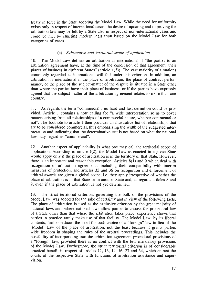treaty in force in the State adopting the Model Law. While the need for uniformity exists only in respect of international cases, the desire of updating and improving the arbitration law may be felt by a State also in respect of non-international cases and could be met by enacting modem legislation based on the Model Law for both categories of cases.

#### (a) *Substantive and territorial scope of application*

10. The Model Law defines an arbitration as international if "the parties to an arbitration agreement have, at the time of the conclusion of that agreement, their places of business in different States" (article 1(3)). The vast majority of situations commonly regarded as international will fall under this criterion. In addition, an arbitration is international if the place of arbitration, the place of contract performance, or the place of the subject-matter of the dispute is situated in a State other than where the parties have their place of business, or if the parties have expressly agreed that the subject-matter of the arbitration agreement relates to more than one country.

11. As regards the term "commercial", no hard and fast definition could be provided. Article l contains a note calling for "a wide interpretation so as to cover matters arising from all relationships of a commercial nature, whether contractual or not". The footnote to article 1 then provides an illustrative list of relationships that are to be considered commercial, thus emphasizing the width of the suggested interpretation and indicating that the determinative test is not based on what the national law may regard as "commercial".

12. Another aspect of applicability is what one may call the territorial scope of application. According to article 1(2), the Model Law as enacted in a given State would apply only if the place of arbitration is in the territory of that State. However, there is an important and reasonable exception. Articles  $8(1)$  and 9 which deal with recognition of arbitration agreements, including their compatibility with interim measures of protection, and articles 35 and 36 on recognition and enforcement of arbitral awards are given a global scope, i.e. they apply irrespective of whether the place of arbitration is in that State or in another State and, as regards articles 8 and 9, even if the place of arbitration is not yet determined.

13. The strict territorial criterion, governing the bulk of the provisions of the Model Law, was adopted for the sake of certainty and in view of the following facts. The place of arbitration is used as the exclusive criterion by the great majority of national laws and, where national laws allow parties to choose the procedural law of a State other than that where the arbitration takes place, experience shows that parties in practice rarely make use of that facility. The Model Law, by its liberal contents, further reduces the need for such choice of a "foreign" law in lieu of the (Model) Law of the place of arbitration, not the least because it grants parties wide freedom in shaping the rules of the arbitral proceedings. This includes the possibility of incorporating into the arbitration agreement procedural provisions of a "foreign" law, provided there is no conflict with the few mandatory provisions of the Model Law. Furthermore, the strict territorital criterion is of considerable practical benefit in respect of articles 11, 13, 14, 16, 27 and 34, which entrust the courts of the respective State with functions of arbitration assistance and supervision.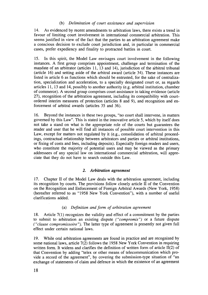#### (b) *Delimitation of court assistance and supervision*

14. As evidenced by recent amendments to arbitration laws, there exists a trend in favour of limiting court involvement in international commercial arbitration. This seems justified in view of the fact that the parties to an arbitration agreement make a conscious decision to exclude court jurisdiction and, in particular in commercial cases, prefer expediency and finality to protracted battles in court.

15. In this spirit, the Model Law envisages court involvement in the following instances. A first group comprises appointment, challenge and termination of the mandate of an arbitrator (articles 11, 13 and 14), jurisdiction of the arbitral tribunal (article 16) and setting aside of the arbitral award (article 34). These instances are listed in article 6 as functions which should be entrusted, for the sake of centralization, specialization and acceleration, to a specially designated court or, as regards articles 11, 13 and 14, possibly to another authority (e.g. arbitral institution, chamber of commerce). A second group comprises court assistance in taking evidence (article 27), recognition of the arbitration agreement, including its compatibility with courtordered interim measures of protection (articles 8 and 9), and recognition and enforcement of arbitral awards (articles 35 and 36).

16. Beyond the instances in these two groups, "no court shall intervene, in matters governed by this Law". This is stated in the innovative article 5, which by itself does not take a stand on what is the appropriate role of the courts but guarantees the reader and user that he will find all instances of possible court intervention in this Law, except for matters not regulated by it (e.g., consolidation of arbitral proceedings, contractual relationship between arbitrators and parties or arbitral institutions, or fixing of costs and fees, including deposits). Especially foreign readers and users, who constitute the majority of potential users and may be viewed as the primary addressees of any special law on international commercial arbitration, will appreciate that they do not have to search outside this Law.

#### *2. Arbitration agreement*

17. Chapter II of the Model Law deals with the arbitration agreement, including its recognition by courts. The provisions follow closely article II of the Convention on the Recognition and Enforcement of Foreign Arbitral Awards (New York, 1958) (hereafter referred to as "1958 New York Convention"), with a number of useful clarifications added.

#### (a) *Definition and form of arbitration agreement*

18. Article 7(1) recognizes the validity and effect of a commitment by the parties to submit to arbitration an existing dispute *( "compromis ")* or a future dispute *("clause compromissoire ").* The latter type of agreement is presently not given full effect under certain national laws.

19. While oral arbitration agreements are found in practice and are recognized by some national laws, article 7(2) follows the 1958 New York Convention in requiring written form. It widens and clarifies the definition of written form of article 11(2) of that Convention by adding "telex or other means of telecommunication which provide a record of the agreement", by covering the submission-type situation of "an exchange of statements of claim and defence in which the existence of an agreement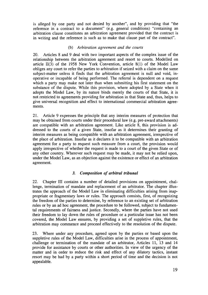is alleged by one party and not denied by another", and by providing that "the reference in a contract to a document" (e.g. general conditions) "containing an arbitration clause constitutes an arbitration agreement provided that the contract is in writing and the reference is such as to make that clause part of the contract".

#### (b) *Arbitration agreement and the courts*

20. Articles 8 and 9 deal with two important aspects of the complex issue of the relationship between the arbitration agreement and resort to courts. Modelled on article 11(3) of the 1958 New York Convention, article 8( 1) of the Model Law obliges any court to refer the parties to arbitration if seized with a claim on the same subject-matter unless it finds that the arbitration agreement is null and void, inoperative or incapable of being performed. The referral is dependent on a request which a party may make not later than when submitting his first statement on the substance of the dispute. While this provision, where adopted by a State when it adopts the Model Law, by its nature binds merely the courts of that State, it is not restricted to agreements providing for arbitration in that State and, thus, helps to give universal recognition and effect to international commercial arbitration agreements.

21. Article 9 expresses the principle that any interim measures of protection that may be obtained from courts under their procedural law (e.g. pre-award attachments) are compatible with an arbitration agreement. Like article 8, this provision is addressed to the courts of a given State, insofar as it determines their granting of interim measures as being compatible with an arbitration agreement, irrespective of the place of arbitration. Insofar as it declares it to be compatible with an arbitration agreement for a party to request such measure from a court, the provision would apply irrespective of whether the request is made to a court of the given State or of any other country. Wherever such request may be made, it may not be relied upon, under the Model Law, as an objection against the existence or effect of an arbitration agreement.

# *3. Composition of arbitral tribunal*

22. Chapter III contains a number of detailed provisions on appointment, challenge, termination of mandate and replacement of an arbitrator. The chapter illustrates the approach of the Model Law in eliminating difficulties arising from inappropriate or fragmentary laws or rules. The approach consists, first, of recognizing the freedom of the parties to determine, by reference to an existing set of arbitration rules or by an ad hoc agreement, the procedure to be followed, subject to fundamental requirements of fairness and justice. Secondly, where the parties have not used their freedom to lay down the rules of procedure or a particular issue has not been covered, the Model Law ensures, by providing a set of suppletive rules, that the arbitration may commence and proceed effectively to the resolution of the dispute.

23. Where under any procedure, agreed upon by the parties or based upon the suppletive rules of the Model Law, difficulties arise in the process of appointment, challenge or termination of the mandate of an arbitrator, Articles 11, 13 and 14 provide for assistance by courts or other authorities. In view of the urgency of the matter and in order to reduce the risk and effect of any dilatory tactics, instant resort may be had by a party within a short period of time and the decision is not appealable.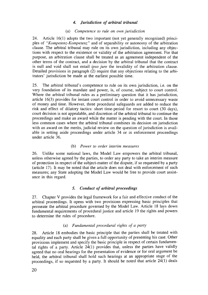#### *4. Jurisdiction of arbitral tribunal*

#### (a) *Competence to rule on own jurisdiction*

24. Article 16(1) adopts the two important (not yet generally recognized) principles of *"Kompetenz-Kompetenz"* and of separability or autonomy of the arbitration clause. The arbitral tribunal may rule on its own jurisdiction, including any objections with respect to the existence or validity of the arbitration agreement. For that purpose, an arbitration clause shall be treated as an agreement independent of the other terms of the contract, and a decision by the arbitral tribunal that the contract is null and void shall not entail *ipso jure* the invalidity of the arbitration clause. Detailed provisions in paragraph (2) require that any objections relating to the arbitrators' jurisdiction be made at the earliest possible time.

25. The arbitral tribunal's competence to rule on its own jurisdiction, i.e. on the very foundation of its mandate and power, is, of course, subject to court control. Where the arbitral tribunal rules as a preliminary question that it has jurisdiction, article 16(3) provides for instant court control in order to avoid unnecessary waste of money and time. However, three procedural safeguards are added to reduce the risk and effect of dilatory tactics: short time-period for resort to court (30 days), court decision is not appealable, and discretion of the arbitral tribunal to continue the proceedings and make an award while the matter is pending with the court. In those less common cases where the arbitral tribunal combines its decision on jurisdiction with an award on the merits, judicial review on the question of jurisdiction is available in setting aside proceedings under article 34 or in enforcement proceedings under article 36.

#### (b) *Power to order interim measures*

26. Unlike some national laws, the Model Law empowers the arbitral tribunal, unless otherwise agreed by the parties, to order any party to take an interim measure of protection in respect of the subject-matter of the dispute, if so requested by a party (article 17). It may be noted that the article does not deal with enforcement of such measures; any State adopting the Model Law would be free to provide court assistance in this regard.

#### *5. Conduct of arbitral proceedings*

27. Chapter V provides the legal framework for a fair and effective conduct of the arbitral proceedings. It opens with two provisions expressing basic principles that permeate the arbitral procedure governed by the Model Law. Article 18 lays down fundamental requirements of procedural justice and article 19 the rights and powers to determine the rules of procedure.

#### (a) *Fundamental procedural rights of a party*

28. Article 18 embodies the basic principle that the parties shall be treated with equality and each party shall be given a full opportunity of presenting his case. Other provisions implement and specify the basic principle in respect of certain fundamental rights of a party. Article 24(1) provides that, unless the parties have validly agreed that no oral hearings for the presentation of evidence or for oral argument be held, the arbitral tribunal shall hold such hearings at an appropriate stage of the proceedings, if so requested by a party. It should be noted that article 24(1) deals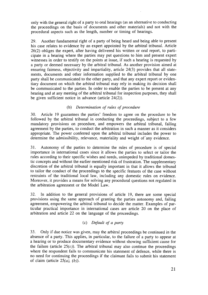only with the general right of a party to oral hearings (as an alternative to conducting the proceedings on the basis of documents and other materials) and not with the procedural aspects such as the length, number or timing of hearings.

29. Another fundamental right of a party of being heard and being able to present his case relates to evidence by an expert appointed by the arbitral tribunal. Article 26(2) obliges the expert, after having delivered his written or oral report, to participate in a hearing where the parties may put questions to him and present expert witnesses in order to testify on the points at issue, if such a hearing is requested by a party or deemed necessary by the arbitral tribunal. As another provision aimed at ensuring fairness, objectivity and impartiality, article 24(3) provides that all statements, documents and other information supplied to the arbitral tribunal by one party shall be communicated to the other party, and that any expert report or evidentiary document on which the arbitral tribunal may rely in making its decision shall be communicated to the parties. In order to enable the parties to be present at any hearing and at any meeting of the arbitral tribunal for inspection purposes, they shall be given sufficient notice in advance (article 24(2)).

#### (b) *Determination of rules of procedure*

30. Article 19 guarantees the parties' freedom to agree on the procedure to be followed by the arbitral tribunal in conducting the proceedings, subject to a few mandatory provisions on procedure, and empowers the arbitral tribunal, failing agreement by the parties, to conduct the arbitration in such a manner as it considers appropriate. The power conferred upon the arbitral tribunal includes the power to determine the admissibility, relevance, materiality and weight of'any evidence.

31. Autonomy of the parties to determine the rules of procedure is of special importance in international cases since it allows the parties to select or tailor the rules according to their specific wishes and needs, unimpeded by traditional domestic concepts and without the earlier mentioned risk of frustration. The supplementary discretion of the arbitral tribunal is equally important in that it allows the tribunal to tailor the conduct of the proceedings to the specific features of the case without restraints of the traditional local law, including any domestic rules on evidence. Moreover, it provides a means for solving any procedural questions not regulated in the arbitration agreement or the Model Law.

32. In addition to the general provisions of article 19, there are some special provisions using the same approach of granting the parties autonomy and, failing agreement, empowering the arbitral tribunal to decide the matter. Examples of particular practical importance in international cases are article 20 on the place of arbitration and article 22 on the language of the proceedings.

#### ( c) *Default of a party*

33. Only if due notice was given, may the arbitral proceedings be continued in the absence of a party. This applies, in particular, to the failure of a party to appear at a hearing or to produce documentary evidence without showing sufficient cause for the failure (article  $25(c)$ ). The arbitral tribunal may also continue the proceedings where the respondent fails to communicate his statement of defence, while there is no need for continuing the proceedings if the claimant fails to submit his statement of claim (article  $25(a)$ ,  $(b)$ ).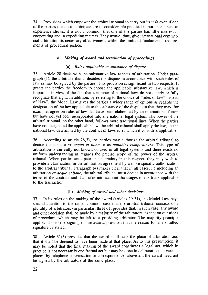34. Provisions which empower the arbitral tribunal to carry out its task even if one of the parties does not participate are of considerable practical importance since, as experience shows, it is not uncommon that one of the parties has little interest in cooperating and in expediting matters. They would, thus, give international commercial arbitration its necessary effectiveness, within the limits of fundamental requirements of procedural justice.

#### *6. Making of award and termination of proceedings*

#### (a) *Rules applicable to substance of dispute*

35. Article 28 deals with the substantive law aspects of arbitration. Under paragraph (1), the arbitral tribunal decides the dispute in accordance with such rules of law as may be agreed by the parties. This provision is significant in two respects. It grants the parties the freedom to choose the applicable substantive law, which is important in view of the fact that a number of national laws do not clearly or fully recognize that right. In addition, by referring to the choice of "rules of law" instead of "law", the Model Law gives the parties a wider range of options as regards the designation of the law applicable to the substance of the dispute in that they may, for example, agree on rules of law that have been elaborated by an international forum but have not yet been incorporated into any national legal system. The power of the arbitral tribunal, on the other hand, follows more traditional lines. When the parties have not designated the applicable law, the arbitral tribunal shall apply the law, i.e. the national law, determined by the conflict of laws rules which it considers applicable.

36. According to article 28(3), the parties may authorize the arbitral tribunal to decide the dispute *ex aequo et bona* or as *amiables compositeurs.* This type of arbitration is currently not known or used in all legal systems and there exists no uniform understanding as regards the precise scope of the power of the arbitral tribunal. When parties anticipate an uncertainty in this respect, they may wish to provide a clarification in the arbitration agreement by a more specific authorization to the arbitral tribunal. Paragraph (4) makes clear that in all cases, i.e including an arbitration *ex aequo et bono,* the arbitral tribunal must decide in accordance with the terms of the contract and shall take into account the usages of the trade applicable to the transaction.

#### (b) *Making of award and other decisions*

37. In its rules on the making of the award (articles 29-31), the Model Law pays special attention to the rather common case that the arbitral tribunal consists of a plurality of arbitrators (in particular, three). It provides that, in such case, any award and other decision shall be made by a majority of the arbitrators, except on questions of procedure, which may be left to a presiding arbitrator. The majority principle applies also to the signing of the award, provided that the reason for any omitted signature is stated.

38. Article 31(3) provides that the award shall state the place of arbitration and that it shall be deemed to have been made at that place. As to this presumption, it may be noted that the final making of the award constitutes a legal act, which in practice is not necessarily one factual act but may be done in deliberations at various places, by telephone conversation or correspondence; above all, the award need not be signed by the arbitrators at the same place.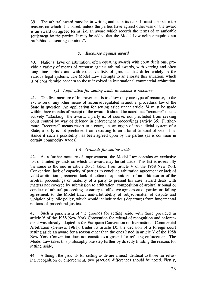39. The arbitral award must be in writing and state its date. It must also state the reasons on which it is based, unless the parties have agreed otherwise or the award is an award on agreed terms, i.e. an award which records the terms of an amicable settlement by the parties. It may be added that the Model Law neither requires nor prohibits "dissenting opinions".

#### 7. *Recourse against award*

40. National laws on arbitration, often equating awards with court decisions, provide a variety of means of recourse against arbitral awards, with varying and often long time-periods and with extensive lists of grounds that differ widely in the various legal systems. The Model Law attempts to ameliorate this situation, which is of considerable concern to those involved in international commercial arbitration.

#### (a) *Application for setting aside as exclusive recourse*

41. The first measure of improvement is to allow only one type of recourse, to the exclusion of any other means of recourse regulated in another procedural law of the State in question. An application for setting aside under article 34 must be made within three months of receipt of the award. It should be noted that "recourse" means actively "attacking" the award; a party is, of course, not precluded from seeking court control by way of defence in enforcement proceedings (article 36). Furthermore, "recourse" means resort to a court, i.e. an organ of the judicial system of a State; a party is not precluded from resorting to an arbitral tribunal of second instance if such a possibility has been agreed upon by the parties (as is common in certain commodity trades).

#### (b) *Grounds for setting aside*

42. As a further measure of improvement, the Model Law contains an exclusive list of limited grounds on which an award may be set aside. This list is essentially the same as the one in article  $36(1)$ , taken from article V of the 1958 New York Convention: lack of capacity of parties to conclude arbitration agreement or lack of valid arbitration agreement; lack of notice of appointment of an arbitrator or of the arbitral proceedings or inability of a party to present his case; award deals with matters not covered by submission to arbitration; composition of arbitral tribunal or conduct of arbitral proceedings contrary to effective agreement of parties or, failing agreement, to the Model Law; non-arbitrability of subject-matter of dispute and violation of public policy, which would include serious departures from fundamental notions of procedural justice.

43. Such a parallelism of the grounds for setting aside with those provided in article V of the 1958 New York Convention for refusal of recognition and enforcement was already adopted in the European Convention on International Commercial Arbitration (Geneva, 1961). Under its article IX, the decision of a foreign court setting aside an award for a reason other than the ones listed in article V of the 1958 New York Convention does not constitute a ground for refusing enforcement. The Model Law takes this philosophy one step further by directly limiting the reasons for setting aside.

44. Although the grounds for setting aside are almost identical to those for refusing recognition or enforcement, two practical differences should be noted. Firstly,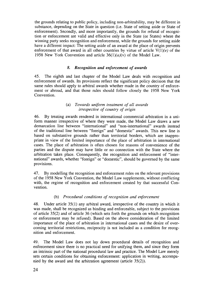the grounds relating to public policy, including non-arbitrability, may be different in substance, depending on the State in question (i.e. State of setting aside or State of enforcement). Secondly, and more importantly, the grounds for refusal of recognition or enforcement are valid and effective only in the State (or States) where the winning party seeks recognition and enforcement, while the grounds for setting aside have a different impact: The setting aside of an award at the place of origin prevents enforcement of that award in all other countries by virtue of article  $V(1)(e)$  of the 1958 New York Convention and article  $36(1)(a)(v)$  of the Model Law.

#### *8. Recognition and enforcement of awards*

45. The eighth and last chapter of the Model Law deals with recognition and enforcement of awards. Its provisions reflect the significant policy decision that the same rules should apply to arbitral awards whether made in the country of enforcement or abroad, and that those rules should follow closely the 1958 New York Convention.

#### (a) *Towards uniform treatment of all awards irrespective of country of origin*

46. By treating awards rendered in international commercial arbitration in a uniform manner irrespective of where they were made, the Model Law draws a new demarcation line between "international" and "non-international" awards instead of the traditional line between "foreign" and "domestic" awards. This new line is based on substantive grounds rather than territorial borders, which are inappropriate in view of the limited importance of the place of arbitration in international cases. The place of arbitration is often chosen for reasons of convenience of the parties and the dispute may have little or no connection with the State where the arbitration takes place. Consequently, the recognition and enforcement of "international" awards, whether "foreign" or "domestic", should be governed by the same provisions.

47. By modelling the recognition and enforcement rules on the relevant provisions of the 1958 New York Convention, the Model Law supplements, without conflicting with, the regime of recognition and enforcement created by that successful Convention.

#### (b) *Procedural conditions of recognition and enforcement*

48. Under article 35(1) any arbitral award, irrespective of the country in which it was made, shall be recognized as binding and enforceable, subject to the provisions of article 35(2) and of article 36 (which sets forth the grounds on which recognition or enforcement may be refused). Based on the above consideration of the limited importance of the place of arbitration in international cases and the desire of overcoming territorial restrictions, reciprocity is not included as a condition for recognition and enforcement.

49. The Model Law does not lay down procedural details of recognition and enforcement since there is no practical need for unifying them, and since they form an intrinsic part of the national procedural law and practice. The Model Law merely sets certain conditions for obtaining enforcement: application in writing, accompanied by the award and the arbitration agreement (article 35(2)).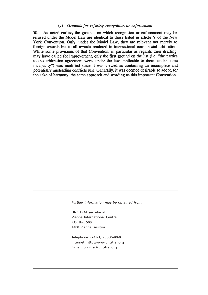#### (c) *Grounds for refusing recognition or enforcement*

50. As noted earlier, the grounds on which recognition or enforcement may be refused under the Model Law are identical to those listed in article V of the New York Convention. Only, under the Model Law, they are relevant not merely to foreign awards but to all awards rendered in international commercial arbitration. While some provisions of that Convention, in particular as regards their drafting, may have called for improvement, only the first ground on the list (i.e. "the parties to the arbitration agreement were, under the law applicable to them, under some incapacity") was modified since it was viewed as containing an incomplete and potentially misleading conflicts rule. Generally, it was deemed desirable to adopt, for the sake of harmony, the same approach and wording as this important Convention.

#### *Further information may be obtained from:*

UNCITRAL secretariat Vienna International Centre P.O. Box 500 1400 Vienna, Austria

Telephone: (+43-1) 26060-4060 Internet: http://www.uncitral.org E-mail: uncitral@uncitral.org